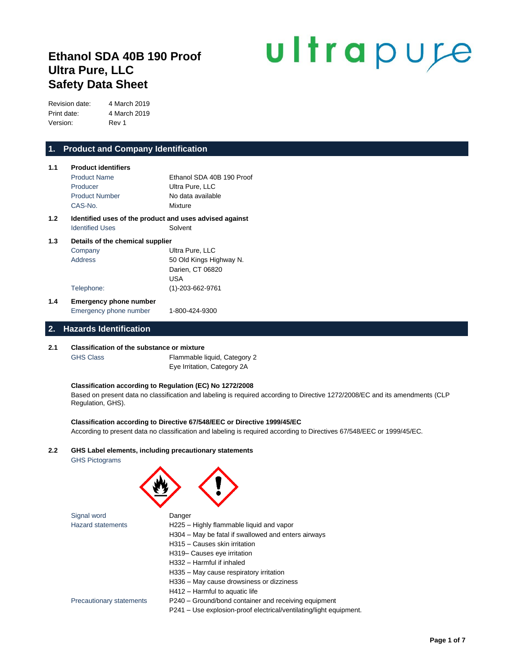# **Ethanol SDA 40B 190 Proof Ultra Pure, LLC Safety Data Sheet**

# ultrapure

Revision date: 4 March 2019 Print date: 4 March 2019 Version: Rev 1

# **1. Product and Company Identification**

| 1.1 | <b>Product identifiers</b>       |                                                         |  |  |
|-----|----------------------------------|---------------------------------------------------------|--|--|
|     | <b>Product Name</b>              | Ethanol SDA 40B 190 Proof                               |  |  |
|     | Producer                         | Ultra Pure, LLC                                         |  |  |
|     | <b>Product Number</b>            | No data available                                       |  |  |
|     | CAS-No.                          | Mixture                                                 |  |  |
| 1.2 |                                  | Identified uses of the product and uses advised against |  |  |
|     | <b>Identified Uses</b>           | Solvent                                                 |  |  |
| 1.3 | Details of the chemical supplier |                                                         |  |  |

|     | Company                       | Ultra Pure, LLC         |
|-----|-------------------------------|-------------------------|
|     | Address                       | 50 Old Kings Highway N. |
|     |                               | Darien, CT 06820        |
|     |                               | USA                     |
|     | Telephone:                    | $(1)-203-662-9761$      |
| 1.4 | <b>Emergency phone number</b> |                         |
|     | Emergency phone number        | 1-800-424-9300          |

# **2. Hazards Identification**

#### **2.1 Classification of the substance or mixture**

GHS Class Flammable liquid, Category 2 Eye Irritation, Category 2A

#### **Classification according to Regulation (EC) No 1272/2008**

Based on present data no classification and labeling is required according to Directive 1272/2008/EC and its amendments (CLP Regulation, GHS).

#### **Classification according to Directive 67/548/EEC or Directive 1999/45/EC**

According to present data no classification and labeling is required according to Directives 67/548/EEC or 1999/45/EC.

# **2.2 GHS Label elements, including precautionary statements**

GHS Pictograms

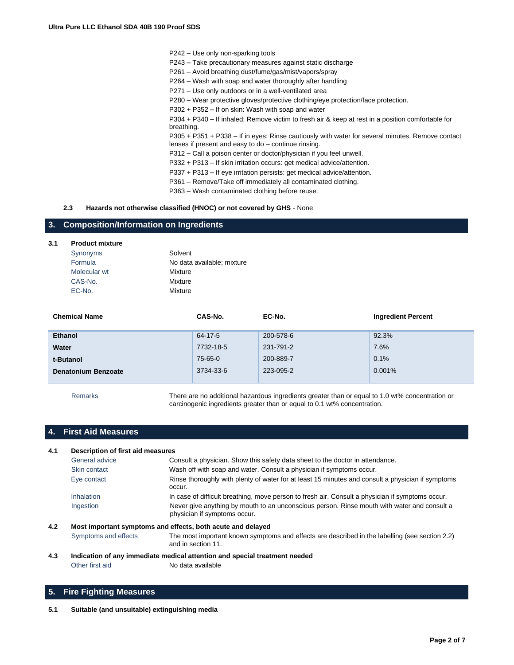P242 – Use only non-sparking tools P243 – Take precautionary measures against static discharge P261 – Avoid breathing dust/fume/gas/mist/vapors/spray P264 – Wash with soap and water thoroughly after handling P271 – Use only outdoors or in a well-ventilated area P280 – Wear protective gloves/protective clothing/eye protection/face protection. P302 + P352 – If on skin: Wash with soap and water P304 + P340 – If inhaled: Remove victim to fresh air & keep at rest in a position comfortable for breathing. P305 + P351 + P338 – If in eyes: Rinse cautiously with water for several minutes. Remove contact lenses if present and easy to do – continue rinsing. P312 – Call a poison center or doctor/physician if you feel unwell. P332 + P313 – If skin irritation occurs: get medical advice/attention. P337 + P313 – If eye irritation persists: get medical advice/attention. P361 – Remove/Take off immediately all contaminated clothing.

P363 – Wash contaminated clothing before reuse.

#### **2.3 Hazards not otherwise classified (HNOC) or not covered by GHS** - None

# **3. Composition/Information on Ingredients**

#### **3.1 Product mixture**

| Synonyms     | Solvent                    |
|--------------|----------------------------|
| Formula      | No data available; mixture |
| Molecular wt | Mixture                    |
| CAS-No.      | Mixture                    |
| EC-No.       | Mixture                    |

| <b>Chemical Name</b>       | CAS-No.   | EC-No.    | <b>Ingredient Percent</b> |
|----------------------------|-----------|-----------|---------------------------|
| <b>Ethanol</b>             | 64-17-5   | 200-578-6 | 92.3%                     |
| Water                      | 7732-18-5 | 231-791-2 | 7.6%                      |
| t-Butanol                  | 75-65-0   | 200-889-7 | 0.1%                      |
| <b>Denatonium Benzoate</b> | 3734-33-6 | 223-095-2 | 0.001%                    |
|                            |           |           |                           |

Remarks There are no additional hazardous ingredients greater than or equal to 1.0 wt% concentration or carcinogenic ingredients greater than or equal to 0.1 wt% concentration.

# **4. First Aid Measures**

| 4.1 | Description of first aid measures |                                                                                                                             |  |
|-----|-----------------------------------|-----------------------------------------------------------------------------------------------------------------------------|--|
|     | General advice                    | Consult a physician. Show this safety data sheet to the doctor in attendance.                                               |  |
|     | Skin contact                      | Wash off with soap and water. Consult a physician if symptoms occur.                                                        |  |
|     | Eye contact                       | Rinse thoroughly with plenty of water for at least 15 minutes and consult a physician if symptoms<br>occur.                 |  |
|     | <b>Inhalation</b>                 | In case of difficult breathing, move person to fresh air. Consult a physician if symptoms occur.                            |  |
|     | Ingestion                         | Never give anything by mouth to an unconscious person. Rinse mouth with water and consult a<br>physician if symptoms occur. |  |
| 4.2 |                                   | Most important symptoms and effects, both acute and delayed                                                                 |  |
|     | Symptoms and effects              | The most important known symptoms and effects are described in the labelling (see section 2.2)<br>and in section 11.        |  |

#### **4.3 Indication of any immediate medical attention and special treatment needed** Other first aid No data available

# **5. Fire Fighting Measures**

**5.1 Suitable (and unsuitable) extinguishing media**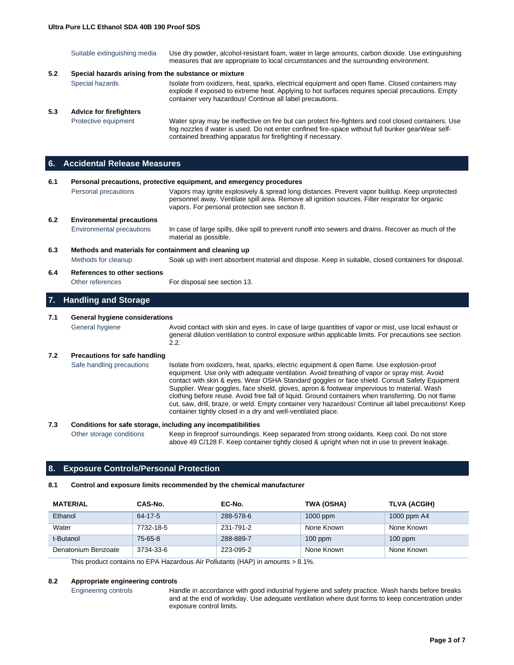|     | Suitable extinguishing media                          | Use dry powder, alcohol-resistant foam, water in large amounts, carbon dioxide. Use extinguishing<br>measures that are appropriate to local circumstances and the surrounding environment.                                                                                |
|-----|-------------------------------------------------------|---------------------------------------------------------------------------------------------------------------------------------------------------------------------------------------------------------------------------------------------------------------------------|
| 5.2 | Special hazards arising from the substance or mixture |                                                                                                                                                                                                                                                                           |
|     | Special hazards                                       | Isolate from oxidizers, heat, sparks, electrical equipment and open flame. Closed containers may<br>explode if exposed to extreme heat. Applying to hot surfaces requires special precautions. Empty<br>container very hazardous! Continue all label precautions.         |
| 5.3 | <b>Advice for firefighters</b>                        |                                                                                                                                                                                                                                                                           |
|     | Protective equipment                                  | Water spray may be ineffective on fire but can protect fire-fighters and cool closed containers. Use<br>fog nozzles if water is used. Do not enter confined fire-space without full bunker gearWear self-<br>contained breathing apparatus for firefighting if necessary. |

# **6. Accidental Release Measures**

| 6.1                                                          |                                      | Personal precautions, protective equipment, and emergency procedures                                                                                                                                                                                                                        |  |  |
|--------------------------------------------------------------|--------------------------------------|---------------------------------------------------------------------------------------------------------------------------------------------------------------------------------------------------------------------------------------------------------------------------------------------|--|--|
|                                                              | Personal precautions                 | Vapors may ignite explosively & spread long distances. Prevent vapor buildup. Keep unprotected<br>personnel away. Ventilate spill area. Remove all ignition sources. Filter respirator for organic<br>vapors. For personal protection see section 8.                                        |  |  |
| 6.2                                                          | <b>Environmental precautions</b>     |                                                                                                                                                                                                                                                                                             |  |  |
|                                                              | <b>Environmental precautions</b>     | In case of large spills, dike spill to prevent runoff into sewers and drains. Recover as much of the<br>material as possible.                                                                                                                                                               |  |  |
| 6.3<br>Methods and materials for containment and cleaning up |                                      |                                                                                                                                                                                                                                                                                             |  |  |
|                                                              | Methods for cleanup                  | Soak up with inert absorbent material and dispose. Keep in suitable, closed containers for disposal.                                                                                                                                                                                        |  |  |
| 6.4                                                          | References to other sections         |                                                                                                                                                                                                                                                                                             |  |  |
|                                                              | Other references                     | For disposal see section 13.                                                                                                                                                                                                                                                                |  |  |
| 7.                                                           | <b>Handling and Storage</b>          |                                                                                                                                                                                                                                                                                             |  |  |
| 7.1                                                          | General hygiene considerations       |                                                                                                                                                                                                                                                                                             |  |  |
|                                                              | General hygiene                      | Avoid contact with skin and eyes. In case of large quantities of vapor or mist, use local exhaust or<br>general dilution ventilation to control exposure within applicable limits. For precautions see section<br>2.2.                                                                      |  |  |
| 7.2                                                          | <b>Precautions for safe handling</b> |                                                                                                                                                                                                                                                                                             |  |  |
|                                                              | Safe handling precautions            | Isolate from oxidizers, heat, sparks, electric equipment & open flame. Use explosion-proof<br>equipment. Use only with adequate ventilation. Avoid breathing of vapor or spray mist. Avoid<br>contact with skin & eves. Wear OSHA Standard googles or face shield. Consult Safety Equipment |  |  |

ct with skin & eyes. Wear OSHA Standard goggles or face shield. Consult Safety Equipment Supplier. Wear goggles, face shield, gloves, apron & footwear impervious to material. Wash clothing before reuse. Avoid free fall of liquid. Ground containers when transferring. Do not flame cut, saw, drill, braze, or weld. Empty container very hazardous! Continue all label precautions! Keep container tightly closed in a dry and well-ventilated place.

# **7.3 Conditions for safe storage, including any incompatibilities** Other storage conditions Keep in fireproof surroundings. Keep separated from strong oxidants. Keep cool. Do not store above 49 C/128 F. Keep container tightly closed & upright when not in use to prevent leakage.

# **8. Exposure Controls/Personal Protection**

# **8.1 Control and exposure limits recommended by the chemical manufacturer**

| <b>MATERIAL</b>     | CAS-No.   | EC-No.    | TWA (OSHA) | TLVA (ACGIH) |
|---------------------|-----------|-----------|------------|--------------|
| Ethanol             | 64-17-5   | 288-578-6 | $1000$ ppm | 1000 ppm A4  |
| Water               | 7732-18-5 | 231-791-2 | None Known | None Known   |
| t-Butanol           | 75-65-8   | 288-889-7 | $100$ ppm  | $100$ ppm    |
| Denatonium Benzoate | 3734-33-6 | 223-095-2 | None Known | None Known   |

This product contains no EPA Hazardous Air Pollutants (HAP) in amounts > 8.1%.

# **8.2 Appropriate engineering controls**

Engineering controls Handle in accordance with good industrial hygiene and safety practice. Wash hands before breaks and at the end of workday. Use adequate ventilation where dust forms to keep concentration under exposure control limits.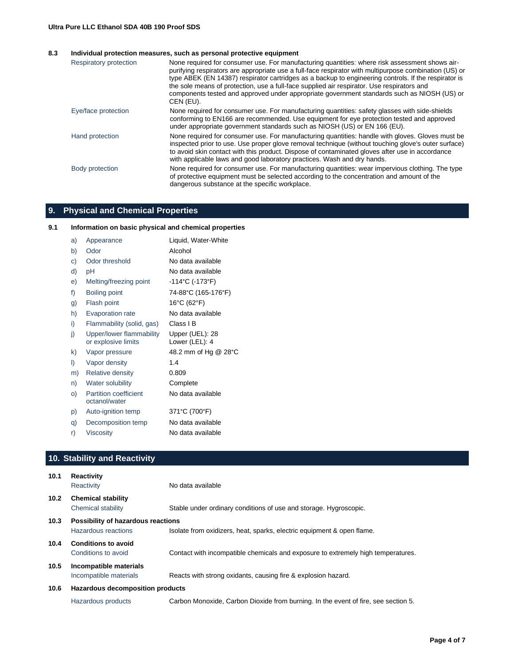#### **8.3 Individual protection measures, such as personal protective equipment**

| Respiratory protection | None required for consumer use. For manufacturing quantities: where risk assessment shows air-<br>purifying respirators are appropriate use a full-face respirator with multipurpose combination (US) or<br>type ABEK (EN 14387) respirator cartridges as a backup to engineering controls. If the respirator is<br>the sole means of protection, use a full-face supplied air respirator. Use respirators and<br>components tested and approved under appropriate government standards such as NIOSH (US) or<br>CEN (EU). |
|------------------------|----------------------------------------------------------------------------------------------------------------------------------------------------------------------------------------------------------------------------------------------------------------------------------------------------------------------------------------------------------------------------------------------------------------------------------------------------------------------------------------------------------------------------|
| Eye/face protection    | None required for consumer use. For manufacturing quantities: safety glasses with side-shields<br>conforming to EN166 are recommended. Use equipment for eye protection tested and approved<br>under appropriate government standards such as NIOSH (US) or EN 166 (EU).                                                                                                                                                                                                                                                   |
| Hand protection        | None required for consumer use. For manufacturing quantities: handle with gloves. Gloves must be<br>inspected prior to use. Use proper glove removal technique (without touching glove's outer surface)<br>to avoid skin contact with this product. Dispose of contaminated gloves after use in accordance<br>with applicable laws and good laboratory practices. Wash and dry hands.                                                                                                                                      |
| Body protection        | None required for consumer use. For manufacturing quantities: wear impervious clothing. The type<br>of protective equipment must be selected according to the concentration and amount of the<br>dangerous substance at the specific workplace.                                                                                                                                                                                                                                                                            |

# **9. Physical and Chemical Properties**

# **9.1 Information on basic physical and chemical properties**

| a) | Appearance                                      | Liquid, Water-White               |
|----|-------------------------------------------------|-----------------------------------|
| b) | Odor                                            | Alcohol                           |
| C) | Odor threshold                                  | No data available                 |
| d) | рH                                              | No data available                 |
| e) | Melting/freezing point                          | -114°C (-173°F)                   |
| f) | Boiling point                                   | 74-88°C (165-176°F)               |
| g) | Flash point                                     | 16°C (62°F)                       |
| h) | <b>Evaporation rate</b>                         | No data available                 |
| i) | Flammability (solid, gas)                       | Class I B                         |
| j) | Upper/lower flammability<br>or explosive limits | Upper (UEL): 28<br>Lower (LEL): 4 |
| k) | Vapor pressure                                  | 48.2 mm of Hg @ 28°C              |
| I) | Vapor density                                   | 1.4                               |
| m) | <b>Relative density</b>                         | 0.809                             |
| n) | Water solubility                                | Complete                          |
| O) | <b>Partition coefficient</b><br>octanol/water   | No data available                 |
| p) | Auto-ignition temp                              | 371°C (700°F)                     |
| q) | Decomposition temp                              | No data available                 |
| r) | Viscosity                                       | No data available                 |

# **10. Stability and Reactivity**

| 10.1              | <b>Reactivity</b><br>Reactivity                           | No data available                                                                  |
|-------------------|-----------------------------------------------------------|------------------------------------------------------------------------------------|
| 10.2 <sub>1</sub> | <b>Chemical stability</b><br>Chemical stability           | Stable under ordinary conditions of use and storage. Hygroscopic.                  |
| 10.3              | Possibility of hazardous reactions<br>Hazardous reactions | Isolate from oxidizers, heat, sparks, electric equipment & open flame.             |
| 10.4              | <b>Conditions to avoid</b><br>Conditions to avoid         | Contact with incompatible chemicals and exposure to extremely high temperatures.   |
| 10.5              | Incompatible materials<br>Incompatible materials          | Reacts with strong oxidants, causing fire & explosion hazard.                      |
| 10.6              | Hazardous decomposition products                          |                                                                                    |
|                   | Hazardous products                                        | Carbon Monoxide, Carbon Dioxide from burning. In the event of fire, see section 5. |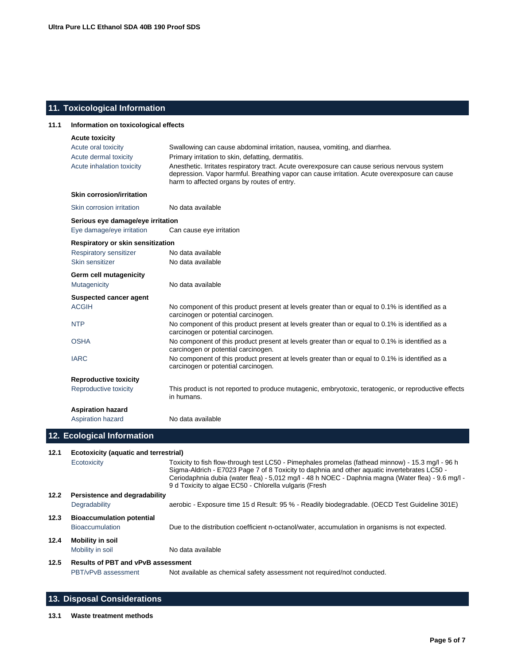# **11. Toxicological Information**

| 11.1 | Information on toxicological effects                        |                                                                                                                                                                                                                                                              |  |  |
|------|-------------------------------------------------------------|--------------------------------------------------------------------------------------------------------------------------------------------------------------------------------------------------------------------------------------------------------------|--|--|
|      | <b>Acute toxicity</b>                                       |                                                                                                                                                                                                                                                              |  |  |
|      | Acute oral toxicity                                         | Swallowing can cause abdominal irritation, nausea, vomiting, and diarrhea.                                                                                                                                                                                   |  |  |
|      | Acute dermal toxicity                                       | Primary irritation to skin, defatting, dermatitis.                                                                                                                                                                                                           |  |  |
|      | Acute inhalation toxicity                                   | Anesthetic. Irritates respiratory tract. Acute overexposure can cause serious nervous system<br>depression. Vapor harmful. Breathing vapor can cause irritation. Acute overexposure can cause<br>harm to affected organs by routes of entry.                 |  |  |
|      | <b>Skin corrosion/irritation</b>                            |                                                                                                                                                                                                                                                              |  |  |
|      | Skin corrosion irritation                                   | No data available                                                                                                                                                                                                                                            |  |  |
|      | Serious eye damage/eye irritation                           |                                                                                                                                                                                                                                                              |  |  |
|      | Eye damage/eye irritation                                   | Can cause eye irritation                                                                                                                                                                                                                                     |  |  |
|      | Respiratory or skin sensitization                           |                                                                                                                                                                                                                                                              |  |  |
|      | <b>Respiratory sensitizer</b>                               | No data available                                                                                                                                                                                                                                            |  |  |
|      | Skin sensitizer                                             | No data available                                                                                                                                                                                                                                            |  |  |
|      | Germ cell mutagenicity                                      |                                                                                                                                                                                                                                                              |  |  |
|      | Mutagenicity                                                | No data available                                                                                                                                                                                                                                            |  |  |
|      | Suspected cancer agent                                      |                                                                                                                                                                                                                                                              |  |  |
|      | <b>ACGIH</b>                                                | No component of this product present at levels greater than or equal to 0.1% is identified as a<br>carcinogen or potential carcinogen.                                                                                                                       |  |  |
|      | <b>NTP</b>                                                  | No component of this product present at levels greater than or equal to 0.1% is identified as a<br>carcinogen or potential carcinogen.                                                                                                                       |  |  |
|      | <b>OSHA</b>                                                 | No component of this product present at levels greater than or equal to 0.1% is identified as a<br>carcinogen or potential carcinogen.                                                                                                                       |  |  |
|      | <b>IARC</b>                                                 | No component of this product present at levels greater than or equal to 0.1% is identified as a<br>carcinogen or potential carcinogen.                                                                                                                       |  |  |
|      | <b>Reproductive toxicity</b>                                |                                                                                                                                                                                                                                                              |  |  |
|      | Reproductive toxicity                                       | This product is not reported to produce mutagenic, embryotoxic, teratogenic, or reproductive effects<br>in humans.                                                                                                                                           |  |  |
|      | <b>Aspiration hazard</b>                                    |                                                                                                                                                                                                                                                              |  |  |
|      | Aspiration hazard                                           | No data available                                                                                                                                                                                                                                            |  |  |
|      | 12. Ecological Information                                  |                                                                                                                                                                                                                                                              |  |  |
|      |                                                             |                                                                                                                                                                                                                                                              |  |  |
| 12.1 | <b>Ecotoxicity (aquatic and terrestrial)</b><br>Ecotoxicity | Toxicity to fish flow-through test LC50 - Pimephales promelas (fathead minnow) - 15.3 mg/l - 96 h                                                                                                                                                            |  |  |
|      |                                                             | Sigma-Aldrich - E7023 Page 7 of 8 Toxicity to daphnia and other aquatic invertebrates LC50 -<br>Ceriodaphnia dubia (water flea) - 5,012 mg/l - 48 h NOEC - Daphnia magna (Water flea) - 9.6 mg/l -<br>9 d Toxicity to algae EC50 - Chlorella vulgaris (Fresh |  |  |
| 12.2 | Persistence and degradability<br>Degradability              | aerobic - Exposure time 15 d Result: 95 % - Readily biodegradable. (OECD Test Guideline 301E)                                                                                                                                                                |  |  |
| 12.3 | <b>Bioaccumulation potential</b>                            |                                                                                                                                                                                                                                                              |  |  |
|      | Bioaccumulation                                             | Due to the distribution coefficient n-octanol/water, accumulation in organisms is not expected.                                                                                                                                                              |  |  |
| 12.4 | <b>Mobility in soil</b>                                     |                                                                                                                                                                                                                                                              |  |  |
|      | Mobility in soil                                            | No data available                                                                                                                                                                                                                                            |  |  |
| 12.5 | <b>Results of PBT and vPvB assessment</b>                   |                                                                                                                                                                                                                                                              |  |  |
|      | PBT/vPvB assessment                                         | Not available as chemical safety assessment not required/not conducted.                                                                                                                                                                                      |  |  |

# **13. Disposal Considerations**

**13.1 Waste treatment methods**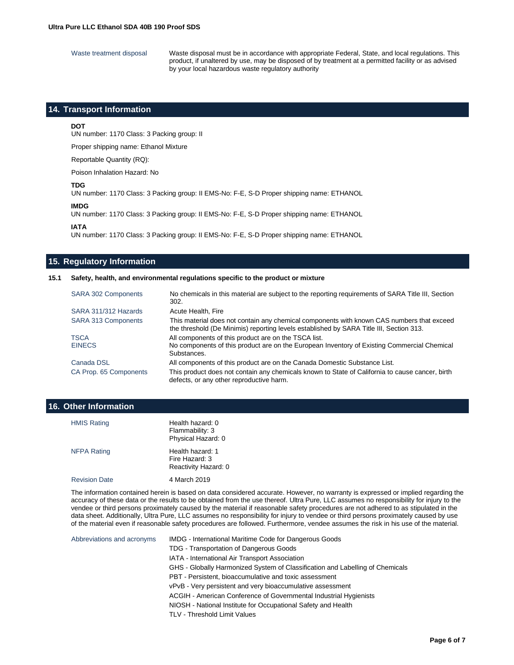Waste treatment disposal Waste disposal must be in accordance with appropriate Federal, State, and local regulations. This product, if unaltered by use, may be disposed of by treatment at a permitted facility or as advised by your local hazardous waste regulatory authority

## **14. Transport Information**

#### **DOT**

UN number: 1170 Class: 3 Packing group: II

Proper shipping name: Ethanol Mixture

Reportable Quantity (RQ):

Poison Inhalation Hazard: No

#### **TDG**

UN number: 1170 Class: 3 Packing group: II EMS-No: F-E, S-D Proper shipping name: ETHANOL

#### **IMDG**

UN number: 1170 Class: 3 Packing group: II EMS-No: F-E, S-D Proper shipping name: ETHANOL

**IATA**

UN number: 1170 Class: 3 Packing group: II EMS-No: F-E, S-D Proper shipping name: ETHANOL

#### **15. Regulatory Information**

#### **15.1 Safety, health, and environmental regulations specific to the product or mixture**

| <b>SARA 302 Components</b>   | No chemicals in this material are subject to the reporting requirements of SARA Title III, Section<br>302.                                                                           |
|------------------------------|--------------------------------------------------------------------------------------------------------------------------------------------------------------------------------------|
| SARA 311/312 Hazards         | Acute Health, Fire                                                                                                                                                                   |
| SARA 313 Components          | This material does not contain any chemical components with known CAS numbers that exceed<br>the threshold (De Minimis) reporting levels established by SARA Title III, Section 313. |
| <b>TSCA</b><br><b>EINECS</b> | All components of this product are on the TSCA list.<br>No components of this product are on the European Inventory of Existing Commercial Chemical<br>Substances.                   |
| Canada DSL                   | All components of this product are on the Canada Domestic Substance List.                                                                                                            |
| CA Prop. 65 Components       | This product does not contain any chemicals known to State of California to cause cancer, birth<br>defects, or any other reproductive harm.                                          |

# **16. Other Information**

| <b>HMIS Rating</b>   | Health hazard: 0<br>Flammability: 3<br>Physical Hazard: 0  |
|----------------------|------------------------------------------------------------|
| <b>NFPA Rating</b>   | Health hazard: 1<br>Fire Hazard: 3<br>Reactivity Hazard: 0 |
| <b>Revision Date</b> | 4 March 2019                                               |

The information contained herein is based on data considered accurate. However, no warranty is expressed or implied regarding the accuracy of these data or the results to be obtained from the use thereof. Ultra Pure, LLC assumes no responsibility for injury to the vendee or third persons proximately caused by the material if reasonable safety procedures are not adhered to as stipulated in the data sheet. Additionally, Ultra Pure, LLC assumes no responsibility for injury to vendee or third persons proximately caused by use of the material even if reasonable safety procedures are followed. Furthermore, vendee assumes the risk in his use of the material.

Abbreviations and acronyms IMDG - International Maritime Code for Dangerous Goods TDG - Transportation of Dangerous Goods IATA - International Air Transport Association GHS - Globally Harmonized System of Classification and Labelling of Chemicals PBT - Persistent, bioaccumulative and toxic assessment vPvB - Very persistent and very bioaccumulative assessment ACGIH - American Conference of Governmental Industrial Hygienists NIOSH - National Institute for Occupational Safety and Health TLV - Threshold Limit Values